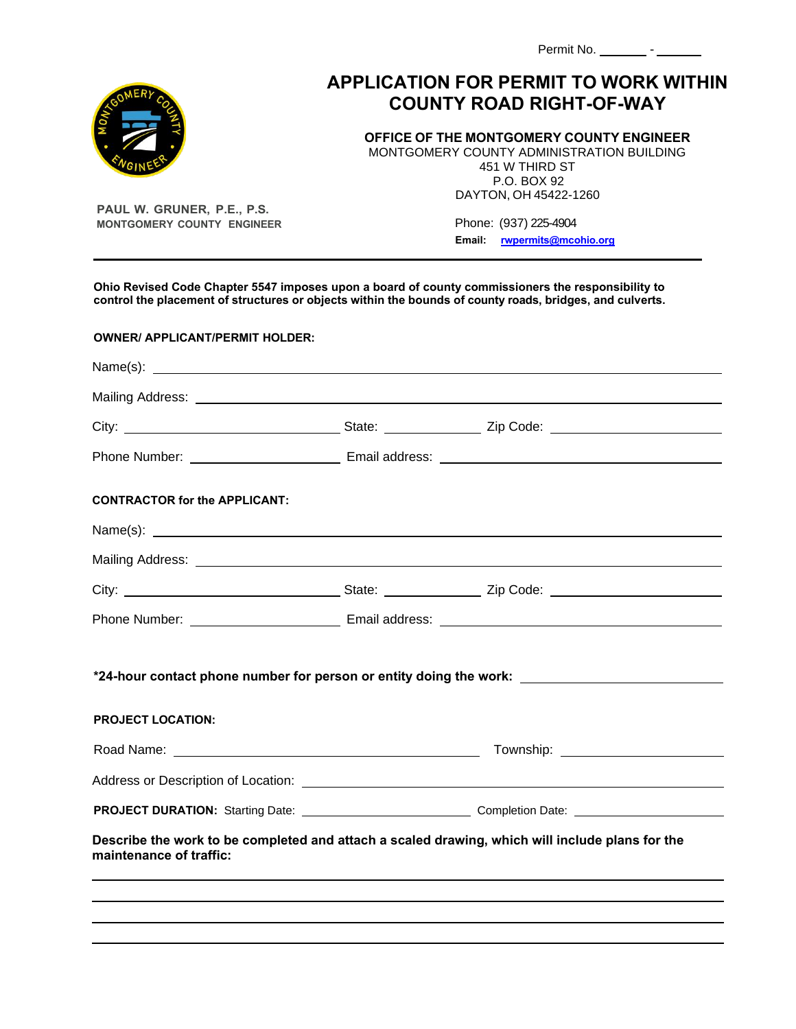| Permit No. |  |  |
|------------|--|--|
|            |  |  |

## **APPLICATION FOR PERMIT TO WORK WITHIN COUNTY ROAD RIGHT-OF-WAY**

**OFFICE OF THE MONTGOMERY COUNTY ENGINEER** 

MONTGOMERY COUNTY ADMINISTRATION BUILDING 451 W THIRD ST P.O. BOX 92 DAYTON, OH 45422-1260

**PAUL W. GRUNER, P.E., P.S. MONTGOMERY COUNTY ENGINEER**

 Phone: (937) 225-4904  **Email: [rwpermits@mcohio.org](mailto:rwpermits@mcohio.org)**

**Ohio Revised Code Chapter 5547 imposes upon a board of county commissioners the responsibility to control the placement of structures or objects within the bounds of county roads, bridges, and culverts.**

| <b>OWNER/ APPLICANT/PERMIT HOLDER:</b> |                                                                                                                                                                                                                                |
|----------------------------------------|--------------------------------------------------------------------------------------------------------------------------------------------------------------------------------------------------------------------------------|
|                                        |                                                                                                                                                                                                                                |
|                                        | Mailing Address: National Address: National Address: National Address: National Address: National Address: National Address: National Address: National Address: National Address: National Address: National Address: Nationa |
|                                        |                                                                                                                                                                                                                                |
|                                        |                                                                                                                                                                                                                                |
| <b>CONTRACTOR for the APPLICANT:</b>   |                                                                                                                                                                                                                                |
| Name(s): $\frac{1}{2}$                 |                                                                                                                                                                                                                                |
|                                        |                                                                                                                                                                                                                                |
|                                        |                                                                                                                                                                                                                                |
|                                        |                                                                                                                                                                                                                                |
|                                        | *24-hour contact phone number for person or entity doing the work:                                                                                                                                                             |
| <b>PROJECT LOCATION:</b>               |                                                                                                                                                                                                                                |
|                                        | Township: Note: Note: Note: Note: Note: Note: Note: Note: Note: Note: Note: Note: Note: Note: Note: Note: Note: Note: Note: Note: Note: Note: Note: Note: Note: Note: Note: Note: Note: Note: Note: Note: Note: Note: Note: No |
|                                        |                                                                                                                                                                                                                                |
|                                        |                                                                                                                                                                                                                                |
|                                        | Describe the work to be completed and attach a scaled drawing, which will include plans for the                                                                                                                                |
| maintenance of traffic:                |                                                                                                                                                                                                                                |
|                                        |                                                                                                                                                                                                                                |
|                                        |                                                                                                                                                                                                                                |

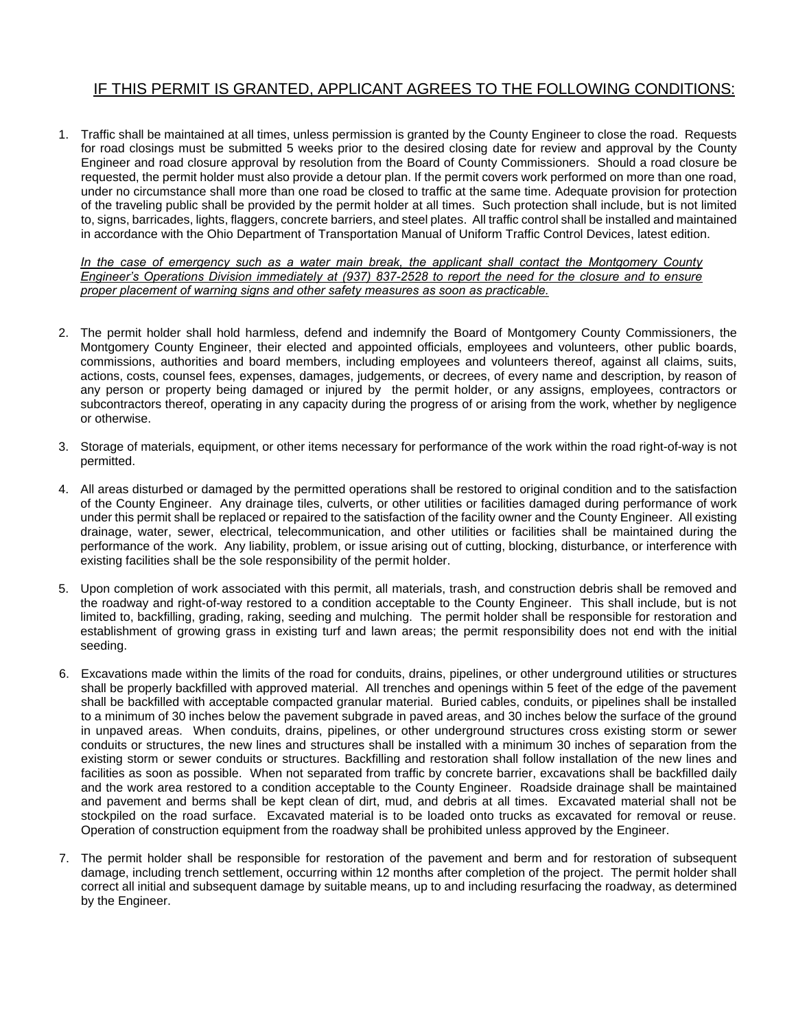## IF THIS PERMIT IS GRANTED, APPLICANT AGREES TO THE FOLLOWING CONDITIONS:

1. Traffic shall be maintained at all times, unless permission is granted by the County Engineer to close the road. Requests for road closings must be submitted 5 weeks prior to the desired closing date for review and approval by the County Engineer and road closure approval by resolution from the Board of County Commissioners. Should a road closure be requested, the permit holder must also provide a detour plan. If the permit covers work performed on more than one road, under no circumstance shall more than one road be closed to traffic at the same time. Adequate provision for protection of the traveling public shall be provided by the permit holder at all times. Such protection shall include, but is not limited to, signs, barricades, lights, flaggers, concrete barriers, and steel plates. All traffic control shall be installed and maintained in accordance with the Ohio Department of Transportation Manual of Uniform Traffic Control Devices, latest edition.

*In the case of emergency such as a water main break, the applicant shall contact the Montgomery County Engineer's Operations Division immediately at (937) 837-2528 to report the need for the closure and to ensure proper placement of warning signs and other safety measures as soon as practicable.*

- 2. The permit holder shall hold harmless, defend and indemnify the Board of Montgomery County Commissioners, the Montgomery County Engineer, their elected and appointed officials, employees and volunteers, other public boards, commissions, authorities and board members, including employees and volunteers thereof, against all claims, suits, actions, costs, counsel fees, expenses, damages, judgements, or decrees, of every name and description, by reason of any person or property being damaged or injured by the permit holder, or any assigns, employees, contractors or subcontractors thereof, operating in any capacity during the progress of or arising from the work, whether by negligence or otherwise.
- 3. Storage of materials, equipment, or other items necessary for performance of the work within the road right-of-way is not permitted.
- 4. All areas disturbed or damaged by the permitted operations shall be restored to original condition and to the satisfaction of the County Engineer. Any drainage tiles, culverts, or other utilities or facilities damaged during performance of work under this permit shall be replaced or repaired to the satisfaction of the facility owner and the County Engineer. All existing drainage, water, sewer, electrical, telecommunication, and other utilities or facilities shall be maintained during the performance of the work. Any liability, problem, or issue arising out of cutting, blocking, disturbance, or interference with existing facilities shall be the sole responsibility of the permit holder.
- 5. Upon completion of work associated with this permit, all materials, trash, and construction debris shall be removed and the roadway and right-of-way restored to a condition acceptable to the County Engineer. This shall include, but is not limited to, backfilling, grading, raking, seeding and mulching. The permit holder shall be responsible for restoration and establishment of growing grass in existing turf and lawn areas; the permit responsibility does not end with the initial seeding.
- 6. Excavations made within the limits of the road for conduits, drains, pipelines, or other underground utilities or structures shall be properly backfilled with approved material. All trenches and openings within 5 feet of the edge of the pavement shall be backfilled with acceptable compacted granular material. Buried cables, conduits, or pipelines shall be installed to a minimum of 30 inches below the pavement subgrade in paved areas, and 30 inches below the surface of the ground in unpaved areas. When conduits, drains, pipelines, or other underground structures cross existing storm or sewer conduits or structures, the new lines and structures shall be installed with a minimum 30 inches of separation from the existing storm or sewer conduits or structures. Backfilling and restoration shall follow installation of the new lines and facilities as soon as possible. When not separated from traffic by concrete barrier, excavations shall be backfilled daily and the work area restored to a condition acceptable to the County Engineer. Roadside drainage shall be maintained and pavement and berms shall be kept clean of dirt, mud, and debris at all times. Excavated material shall not be stockpiled on the road surface. Excavated material is to be loaded onto trucks as excavated for removal or reuse. Operation of construction equipment from the roadway shall be prohibited unless approved by the Engineer.
- 7. The permit holder shall be responsible for restoration of the pavement and berm and for restoration of subsequent damage, including trench settlement, occurring within 12 months after completion of the project. The permit holder shall correct all initial and subsequent damage by suitable means, up to and including resurfacing the roadway, as determined by the Engineer.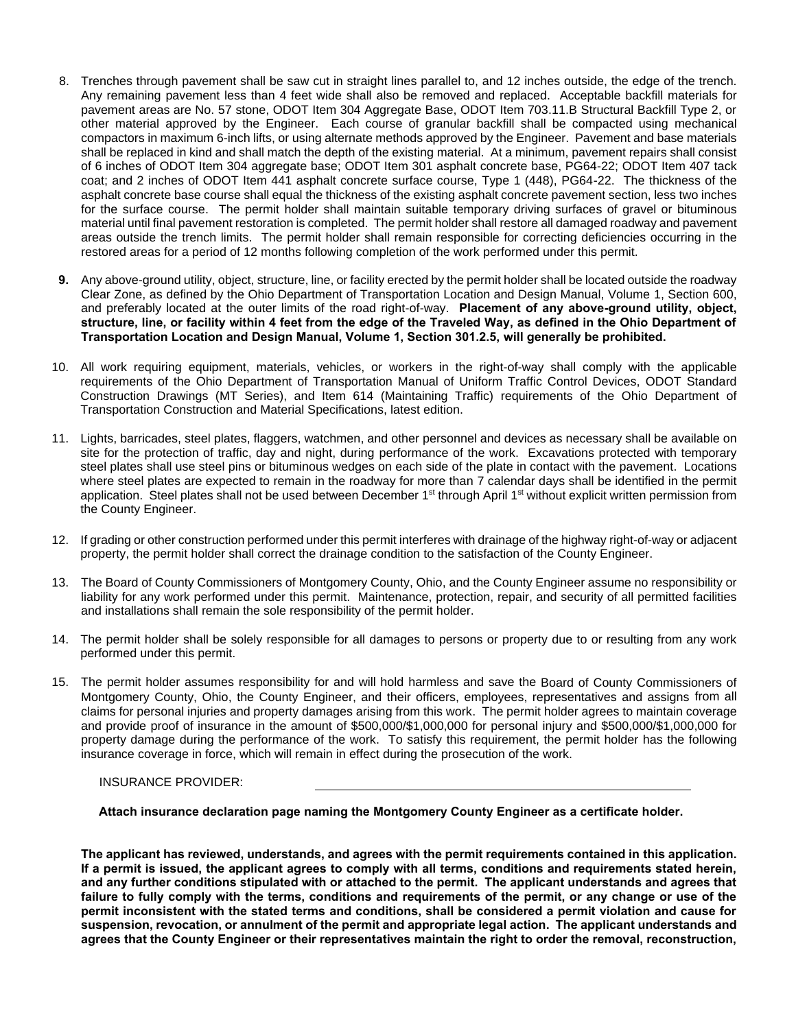- 8. Trenches through pavement shall be saw cut in straight lines parallel to, and 12 inches outside, the edge of the trench. Any remaining pavement less than 4 feet wide shall also be removed and replaced. Acceptable backfill materials for pavement areas are No. 57 stone, ODOT Item 304 Aggregate Base, ODOT Item 703.11.B Structural Backfill Type 2, or other material approved by the Engineer. Each course of granular backfill shall be compacted using mechanical compactors in maximum 6-inch lifts, or using alternate methods approved by the Engineer. Pavement and base materials shall be replaced in kind and shall match the depth of the existing material. At a minimum, pavement repairs shall consist of 6 inches of ODOT Item 304 aggregate base; ODOT Item 301 asphalt concrete base, PG64-22; ODOT Item 407 tack coat; and 2 inches of ODOT Item 441 asphalt concrete surface course, Type 1 (448), PG64-22. The thickness of the asphalt concrete base course shall equal the thickness of the existing asphalt concrete pavement section, less two inches for the surface course. The permit holder shall maintain suitable temporary driving surfaces of gravel or bituminous material until final pavement restoration is completed. The permit holder shall restore all damaged roadway and pavement areas outside the trench limits. The permit holder shall remain responsible for correcting deficiencies occurring in the restored areas for a period of 12 months following completion of the work performed under this permit.
- **9.** Any above-ground utility, object, structure, line, or facility erected by the permit holder shall be located outside the roadway Clear Zone, as defined by the Ohio Department of Transportation Location and Design Manual, Volume 1, Section 600, and preferably located at the outer limits of the road right-of-way. **Placement of any above-ground utility, object, structure, line, or facility within 4 feet from the edge of the Traveled Way, as defined in the Ohio Department of Transportation Location and Design Manual, Volume 1, Section 301.2.5, will generally be prohibited.**
- 10. All work requiring equipment, materials, vehicles, or workers in the right-of-way shall comply with the applicable requirements of the Ohio Department of Transportation Manual of Uniform Traffic Control Devices, ODOT Standard Construction Drawings (MT Series), and Item 614 (Maintaining Traffic) requirements of the Ohio Department of Transportation Construction and Material Specifications, latest edition.
- 11. Lights, barricades, steel plates, flaggers, watchmen, and other personnel and devices as necessary shall be available on site for the protection of traffic, day and night, during performance of the work. Excavations protected with temporary steel plates shall use steel pins or bituminous wedges on each side of the plate in contact with the pavement. Locations where steel plates are expected to remain in the roadway for more than 7 calendar days shall be identified in the permit application. Steel plates shall not be used between December 1<sup>st</sup> through April 1<sup>st</sup> without explicit written permission from the County Engineer.
- 12. If grading or other construction performed under this permit interferes with drainage of the highway right-of-way or adjacent property, the permit holder shall correct the drainage condition to the satisfaction of the County Engineer.
- 13. The Board of County Commissioners of Montgomery County, Ohio, and the County Engineer assume no responsibility or liability for any work performed under this permit. Maintenance, protection, repair, and security of all permitted facilities and installations shall remain the sole responsibility of the permit holder.
- 14. The permit holder shall be solely responsible for all damages to persons or property due to or resulting from any work performed under this permit.
- 15. The permit holder assumes responsibility for and will hold harmless and save the Board of County Commissioners of Montgomery County, Ohio, the County Engineer, and their officers, employees, representatives and assigns from all claims for personal injuries and property damages arising from this work. The permit holder agrees to maintain coverage and provide proof of insurance in the amount of \$500,000/\$1,000,000 for personal injury and \$500,000/\$1,000,000 for property damage during the performance of the work. To satisfy this requirement, the permit holder has the following insurance coverage in force, which will remain in effect during the prosecution of the work.

## INSURANCE PROVIDER:

 **Attach insurance declaration page naming the Montgomery County Engineer as a certificate holder.**

**The applicant has reviewed, understands, and agrees with the permit requirements contained in this application. If a permit is issued, the applicant agrees to comply with all terms, conditions and requirements stated herein, and any further conditions stipulated with or attached to the permit. The applicant understands and agrees that failure to fully comply with the terms, conditions and requirements of the permit, or any change or use of the permit inconsistent with the stated terms and conditions, shall be considered a permit violation and cause for suspension, revocation, or annulment of the permit and appropriate legal action. The applicant understands and agrees that the County Engineer or their representatives maintain the right to order the removal, reconstruction,**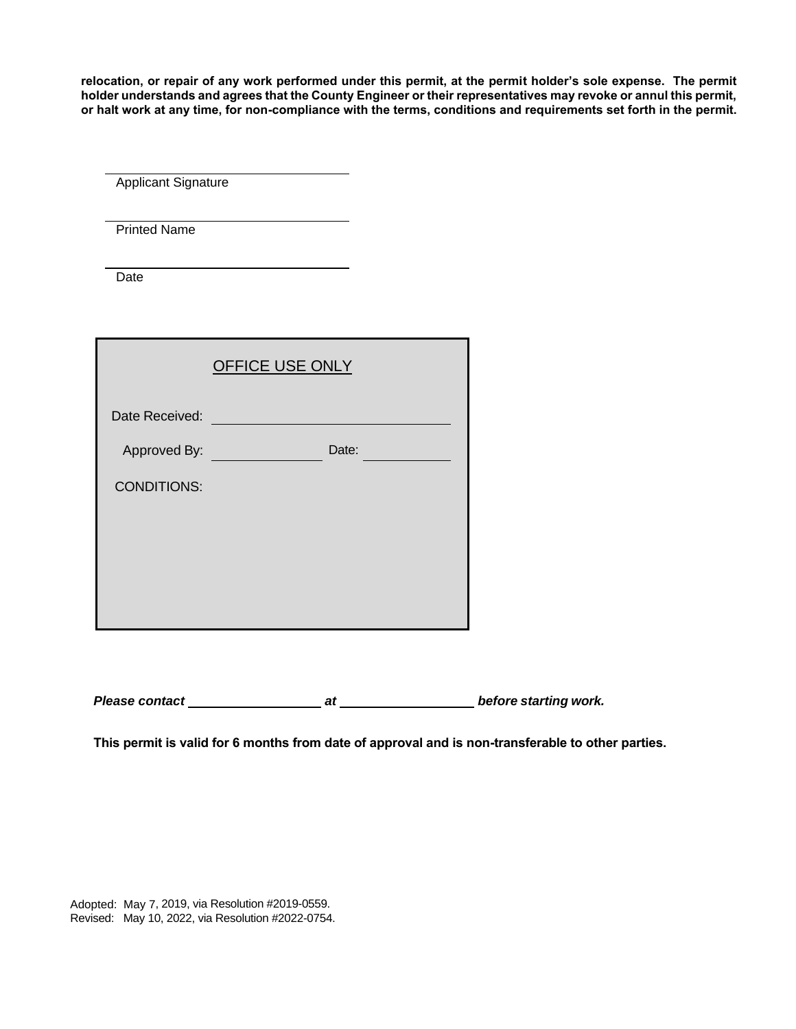**relocation, or repair of any work performed under this permit, at the permit holder's sole expense. The permit holder understands and agrees that the County Engineer or their representatives may revoke or annul this permit, or halt work at any time, for non-compliance with the terms, conditions and requirements set forth in the permit.**

Applicant Signature

Printed Name

Date

|                    | <b>OFFICE USE ONLY</b> |  |
|--------------------|------------------------|--|
| Date Received:     |                        |  |
| Approved By:       | Date:                  |  |
| <b>CONDITIONS:</b> |                        |  |
|                    |                        |  |
|                    |                        |  |
|                    |                        |  |
|                    |                        |  |

**Please contact at before starting work.** 

**This permit is valid for 6 months from date of approval and is non-transferable to other parties.**

Adopted: May 7, 2019, via Resolution #2019-0559. Revised: May 10, 2022, via Resolution #2022-0754.